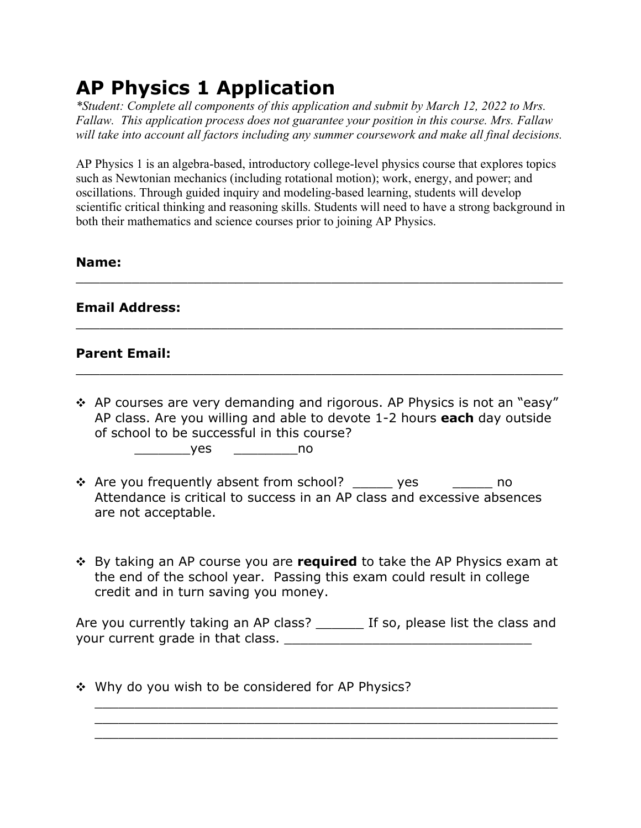# **AP Physics 1 Application**

*\*Student: Complete all components of this application and submit by March 12, 2022 to Mrs. Fallaw. This application process does not guarantee your position in this course. Mrs. Fallaw will take into account all factors including any summer coursework and make all final decisions.*

AP Physics 1 is an algebra-based, introductory college-level physics course that explores topics such as Newtonian mechanics (including rotational motion); work, energy, and power; and oscillations. Through guided inquiry and modeling-based learning, students will develop scientific critical thinking and reasoning skills. Students will need to have a strong background in both their mathematics and science courses prior to joining AP Physics.

 $\_$  . The contract of the contract of the contract of the contract of the contract of the contract of the contract of the contract of the contract of the contract of the contract of the contract of the contract of the con

 $\_$  . The contract of the contract of the contract of the contract of the contract of the contract of the contract of the contract of the contract of the contract of the contract of the contract of the contract of the con

 $\_$  . The contract of the contract of the contract of the contract of the contract of the contract of the contract of the contract of the contract of the contract of the contract of the contract of the contract of the con

#### **Name:**

### **Email Address:**

### **Parent Email:**

 $\cdot$  AP courses are very demanding and rigorous. AP Physics is not an "easy" AP class. Are you willing and able to devote 1-2 hours **each** day outside of school to be successful in this course?

\_\_\_\_\_\_\_yes \_\_\_\_\_\_\_\_no

- \* Are you frequently absent from school? \_\_\_\_\_ yes \_\_\_\_\_\_ no Attendance is critical to success in an AP class and excessive absences are not acceptable.
- **₺** By taking an AP course you are **required** to take the AP Physics exam at the end of the school year. Passing this exam could result in college credit and in turn saving you money.

Are you currently taking an AP class? \_\_\_\_\_\_\_ If so, please list the class and your current grade in that class. The state of the state of the state of the state of the state of the state o

\_\_\_\_\_\_\_\_\_\_\_\_\_\_\_\_\_\_\_\_\_\_\_\_\_\_\_\_\_\_\_\_\_\_\_\_\_\_\_\_\_\_\_\_\_\_\_\_\_\_\_\_\_\_\_\_\_\_ \_\_\_\_\_\_\_\_\_\_\_\_\_\_\_\_\_\_\_\_\_\_\_\_\_\_\_\_\_\_\_\_\_\_\_\_\_\_\_\_\_\_\_\_\_\_\_\_\_\_\_\_\_\_\_\_\_\_ \_\_\_\_\_\_\_\_\_\_\_\_\_\_\_\_\_\_\_\_\_\_\_\_\_\_\_\_\_\_\_\_\_\_\_\_\_\_\_\_\_\_\_\_\_\_\_\_\_\_\_\_\_\_\_\_\_\_

 $\div$  Why do you wish to be considered for AP Physics?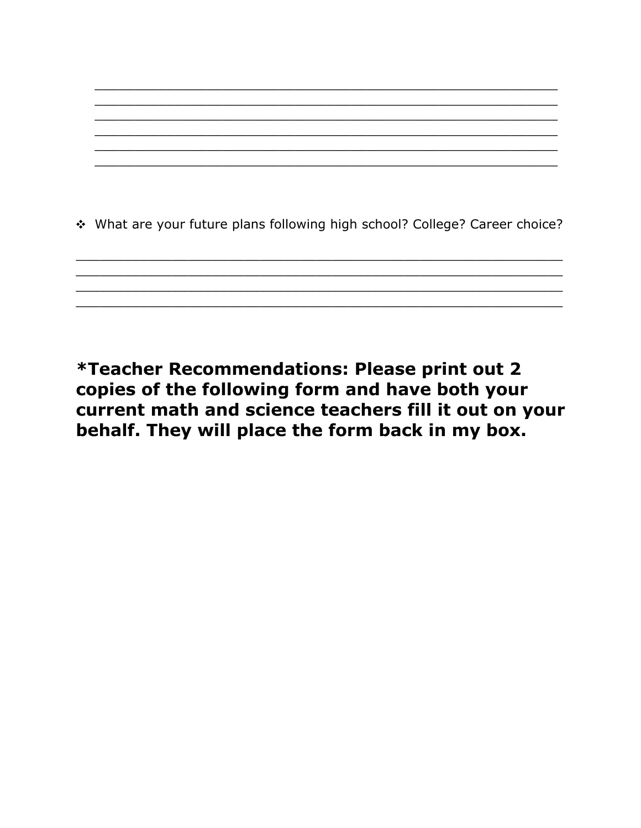

\*Teacher Recommendations: Please print out 2 copies of the following form and have both your current math and science teachers fill it out on your behalf. They will place the form back in my box.